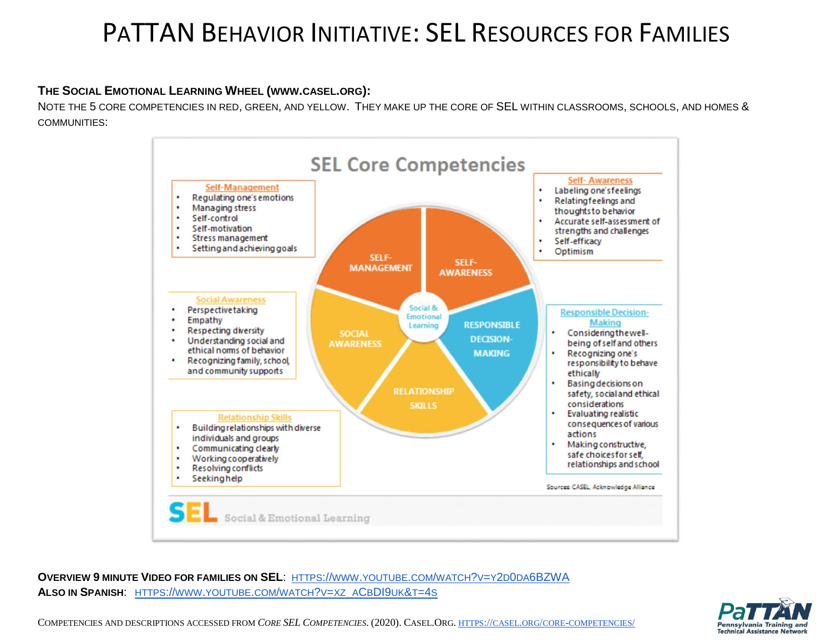## PATTAN BEHAVIOR INITIATIVE: SEL RESOURCES FOR FAMILIES

## **THE SOCIAL EMOTIONAL LEARNING WHEEL (WWW.CASEL.ORG):**

NOTE THE 5 CORE COMPETENCIES IN RED, GREEN, AND YELLOW. THEY MAKE UP THE CORE OF SEL WITHIN CLASSROOMS, SCHOOLS, AND HOMES & COMMUNITIES:



**OVERVIEW 9 MINUTE VIDEO FOR FAMILIES ON SEL**: HTTPS://WWW.YOUTUBE.COM/WATCH?V=Y2D0DA[6BZWA](https://www.youtube.com/watch?v=y2d0da6BZWA) **ALSO IN SPANISH**: HTTPS://WWW.[YOUTUBE](https://www.youtube.com/watch?v=xz_aCbDI9uk&t=4s).COM/WATCH?V=XZ\_ACBDI9UK&T=4S



COMPETENCIES AND DESCRIPTIONS ACCESSED FROM *CORE SEL COMPETENCIES*. (2020). CASEL.ORG. HTTPS://CASEL.ORG/CORE-[COMPETENCIES](https://casel.org/core-competencies/)/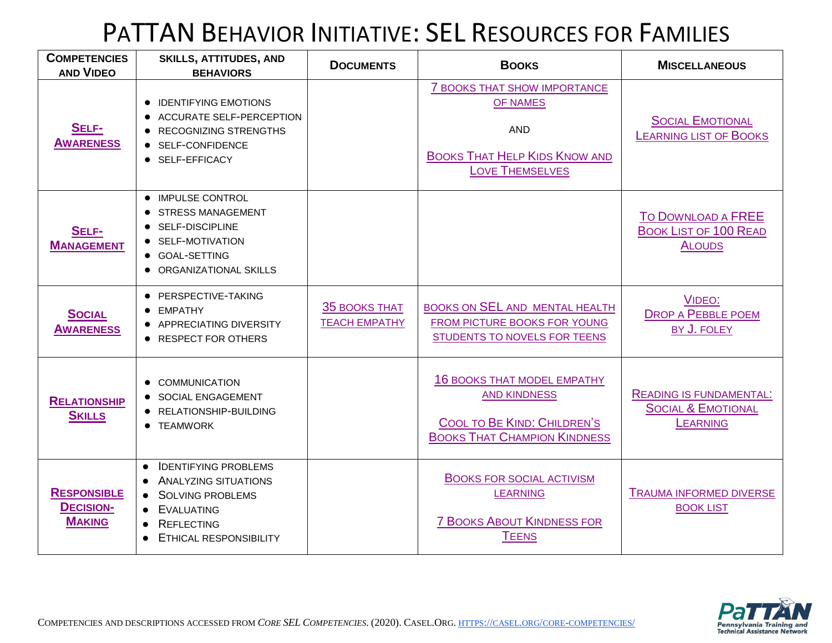# PATTAN BEHAVIOR INITIATIVE: SEL RESOURCES FOR FAMILIES

| <b>COMPETENCIES</b><br><b>AND VIDEO</b>                 | <b>SKILLS, ATTITUDES, AND</b><br><b>BEHAVIORS</b>                                                                                                                                                        | <b>DOCUMENTS</b>                             | <b>BOOKS</b>                                                                                                                           | <b>MISCELLANEOUS</b>                                                               |
|---------------------------------------------------------|----------------------------------------------------------------------------------------------------------------------------------------------------------------------------------------------------------|----------------------------------------------|----------------------------------------------------------------------------------------------------------------------------------------|------------------------------------------------------------------------------------|
| SELF-<br><b>AWARENESS</b>                               | • IDENTIFYING EMOTIONS<br>• ACCURATE SELF-PERCEPTION<br>• RECOGNIZING STRENGTHS<br>● SELF-CONFIDENCE<br>• SELF-EFFICACY                                                                                  |                                              | <b>7 BOOKS THAT SHOW IMPORTANCE</b><br><b>OF NAMES</b><br><b>AND</b><br><b>BOOKS THAT HELP KIDS KNOW AND</b><br><b>LOVE THEMSELVES</b> | <b>SOCIAL EMOTIONAL</b><br><b>LEARNING LIST OF BOOKS</b>                           |
| SELF-<br><b>MANAGEMENT</b>                              | • IMPULSE CONTROL<br><b>• STRESS MANAGEMENT</b><br>SELF-DISCIPLINE<br>• SELF-MOTIVATION<br>● GOAL-SETTING<br>• ORGANIZATIONAL SKILLS                                                                     |                                              |                                                                                                                                        | <b>TO DOWNLOAD A FREE</b><br><b>BOOK LIST OF 100 READ</b><br><b>ALOUDS</b>         |
| <b>SOCIAL</b><br><b>AWARENESS</b>                       | · PERSPECTIVE-TAKING<br>• EMPATHY<br>• APPRECIATING DIVERSITY<br>• RESPECT FOR OTHERS                                                                                                                    | <b>35 BOOKS THAT</b><br><b>TEACH EMPATHY</b> | BOOKS ON SEL AND MENTAL HEALTH<br>FROM PICTURE BOOKS FOR YOUNG<br>STUDENTS TO NOVELS FOR TEENS                                         | VIDEO:<br><b>DROP A PEBBLE POEM</b><br>BY J. FOLEY                                 |
| <b>RELATIONSHIP</b><br><b>SKILLS</b>                    | <b>COMMUNICATION</b><br>• SOCIAL ENGAGEMENT<br>• RELATIONSHIP-BUILDING<br>• TEAMWORK                                                                                                                     |                                              | <b>16 BOOKS THAT MODEL EMPATHY</b><br><b>AND KINDNESS</b><br>COOL TO BE KIND: CHILDREN'S<br><b>BOOKS THAT CHAMPION KINDNESS</b>        | <b>READING IS FUNDAMENTAL:</b><br><b>SOCIAL &amp; EMOTIONAL</b><br><b>LEARNING</b> |
| <b>RESPONSIBLE</b><br><b>DECISION-</b><br><b>MAKING</b> | <b>IDENTIFYING PROBLEMS</b><br>$\bullet$<br>• ANALYZING SITUATIONS<br><b>SOLVING PROBLEMS</b><br>$\bullet$<br><b>EVALUATING</b><br>$\bullet$<br><b>REFLECTING</b><br>$\bullet$<br>ETHICAL RESPONSIBILITY |                                              | <b>BOOKS FOR SOCIAL ACTIVISM</b><br><b>LEARNING</b><br><b>7 BOOKS ABOUT KINDNESS FOR</b><br><b>TEENS</b>                               | <b>TRAUMA INFORMED DIVERSE</b><br><b>BOOK LIST</b>                                 |